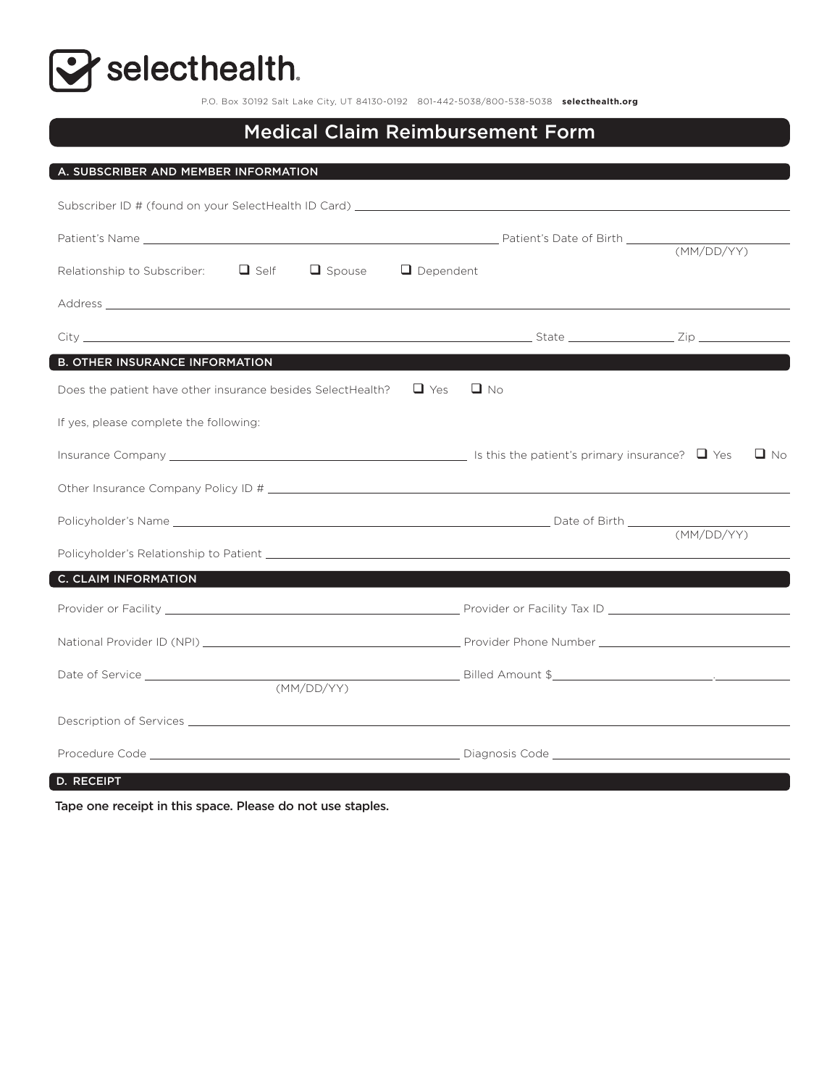Selecthealth.

P.O. Box 30192 Salt Lake City, UT 84130-0192 801-442-5038/800-538-5038 **selecthealth.org**

#### Medical Claim Reimbursement Form

| A. SUBSCRIBER AND MEMBER INFORMATION                                         |           |            |
|------------------------------------------------------------------------------|-----------|------------|
|                                                                              |           |            |
|                                                                              |           |            |
| Patient's Name  MM/DD/YY                                                     |           |            |
| Relationship to Subscriber: $\Box$ Self<br>$\Box$ Dependent<br>$\Box$ Spouse |           |            |
|                                                                              |           |            |
|                                                                              |           |            |
| <b>B. OTHER INSURANCE INFORMATION</b>                                        |           |            |
| Does the patient have other insurance besides SelectHealth? $\Box$ Yes       | $\Box$ No |            |
| If yes, please complete the following:                                       |           |            |
|                                                                              |           | $\Box$ No  |
|                                                                              |           |            |
|                                                                              |           | (MM/DD/YY) |
|                                                                              |           |            |
| <b>C. CLAIM INFORMATION</b>                                                  |           |            |
|                                                                              |           |            |
|                                                                              |           |            |
|                                                                              |           |            |
|                                                                              |           |            |
|                                                                              |           |            |
| D. RECEIPT                                                                   |           |            |

Tape one receipt in this space. Please do not use staples.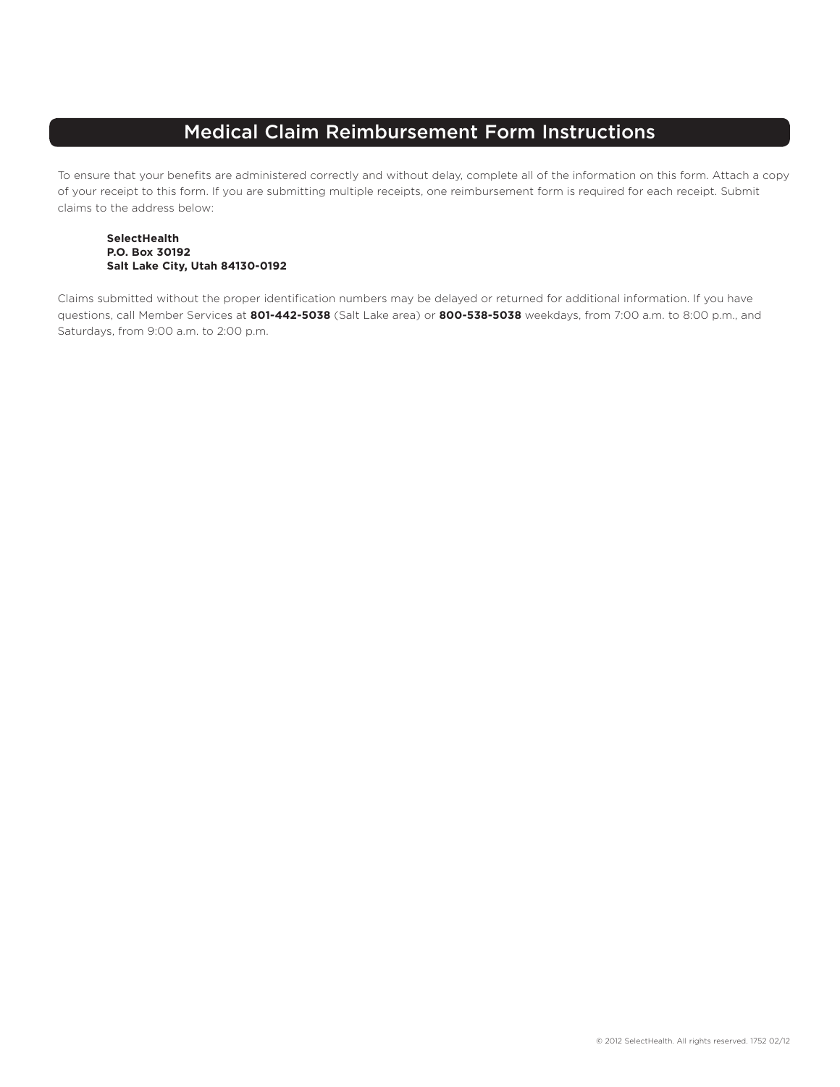### Medical Claim Reimbursement Form Instructions

To ensure that your benefits are administered correctly and without delay, complete all of the information on this form. Attach a copy of your receipt to this form. If you are submitting multiple receipts, one reimbursement form is required for each receipt. Submit claims to the address below:

#### **SelectHealth P.O. Box 30192 Salt Lake City, Utah 84130-0192**

Claims submitted without the proper identification numbers may be delayed or returned for additional information. If you have questions, call Member Services at **801-442-5038** (Salt Lake area) or **800-538-5038** weekdays, from 7:00 a.m. to 8:00 p.m., and Saturdays, from 9:00 a.m. to 2:00 p.m.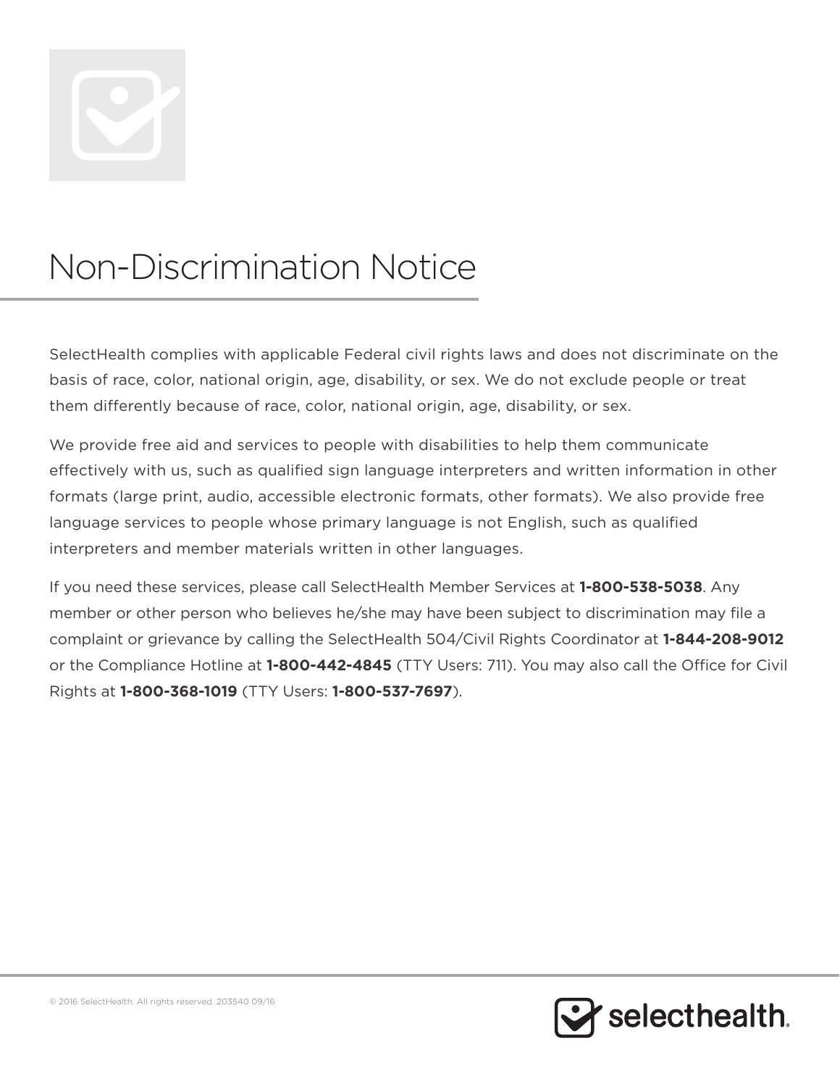

# Non-Discrimination Notice

SelectHealth complies with applicable Federal civil rights laws and does not discriminate on the basis of race, color, national origin, age, disability, or sex. We do not exclude people or treat them differently because of race, color, national origin, age, disability, or sex.

We provide free aid and services to people with disabilities to help them communicate effectively with us, such as qualified sign language interpreters and written information in other formats (large print, audio, accessible electronic formats, other formats). We also provide free language services to people whose primary language is not English, such as qualified interpreters and member materials written in other languages.

If you need these services, please call SelectHealth Member Services at **1-800-538-5038**. Any member or other person who believes he/she may have been subject to discrimination may file a complaint or grievance by calling the SelectHealth 504/Civil Rights Coordinator at **1-844-208-9012** or the Compliance Hotline at **1-800-442-4845** (TTY Users: 711). You may also call the Office for Civil Rights at **1-800-368-1019** (TTY Users: **1-800-537-7697**).